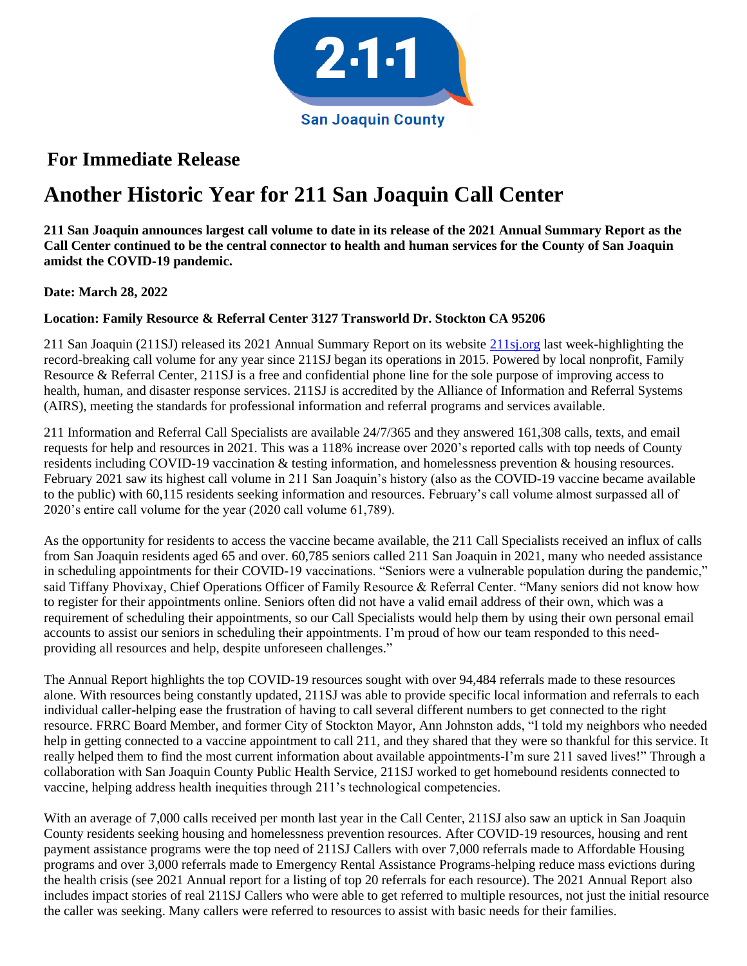

## **For Immediate Release**

## **Another Historic Year for 211 San Joaquin Call Center**

**211 San Joaquin announces largest call volume to date in its release of the 2021 Annual Summary Report as the Call Center continued to be the central connector to health and human services for the County of San Joaquin amidst the COVID-19 pandemic.** 

## **Date: March 28, 2022**

## **Location: Family Resource & Referral Center 3127 Transworld Dr. Stockton CA 95206**

211 San Joaquin (211SJ) released its 2021 Annual Summary Report on its website [211sj.org](http://www.211sj.org/) last week-highlighting the record-breaking call volume for any year since 211SJ began its operations in 2015. Powered by local nonprofit, Family Resource & Referral Center, 211SJ is a free and confidential phone line for the sole purpose of improving access to health, human, and disaster response services. 211SJ is accredited by the Alliance of Information and Referral Systems (AIRS), meeting the standards for professional information and referral programs and services available.

211 Information and Referral Call Specialists are available 24/7/365 and they answered 161,308 calls, texts, and email requests for help and resources in 2021. This was a 118% increase over 2020's reported calls with top needs of County residents including COVID-19 vaccination & testing information, and homelessness prevention & housing resources. February 2021 saw its highest call volume in 211 San Joaquin's history (also as the COVID-19 vaccine became available to the public) with 60,115 residents seeking information and resources. February's call volume almost surpassed all of 2020's entire call volume for the year (2020 call volume 61,789).

As the opportunity for residents to access the vaccine became available, the 211 Call Specialists received an influx of calls from San Joaquin residents aged 65 and over. 60,785 seniors called 211 San Joaquin in 2021, many who needed assistance in scheduling appointments for their COVID-19 vaccinations. "Seniors were a vulnerable population during the pandemic," said Tiffany Phovixay, Chief Operations Officer of Family Resource & Referral Center. "Many seniors did not know how to register for their appointments online. Seniors often did not have a valid email address of their own, which was a requirement of scheduling their appointments, so our Call Specialists would help them by using their own personal email accounts to assist our seniors in scheduling their appointments. I'm proud of how our team responded to this needproviding all resources and help, despite unforeseen challenges."

The Annual Report highlights the top COVID-19 resources sought with over 94,484 referrals made to these resources alone. With resources being constantly updated, 211SJ was able to provide specific local information and referrals to each individual caller-helping ease the frustration of having to call several different numbers to get connected to the right resource. FRRC Board Member, and former City of Stockton Mayor, Ann Johnston adds, "I told my neighbors who needed help in getting connected to a vaccine appointment to call 211, and they shared that they were so thankful for this service. It really helped them to find the most current information about available appointments-I'm sure 211 saved lives!" Through a collaboration with San Joaquin County Public Health Service, 211SJ worked to get homebound residents connected to vaccine, helping address health inequities through 211's technological competencies.

With an average of 7,000 calls received per month last year in the Call Center, 211SJ also saw an uptick in San Joaquin County residents seeking housing and homelessness prevention resources. After COVID-19 resources, housing and rent payment assistance programs were the top need of 211SJ Callers with over 7,000 referrals made to Affordable Housing programs and over 3,000 referrals made to Emergency Rental Assistance Programs-helping reduce mass evictions during the health crisis (see 2021 Annual report for a listing of top 20 referrals for each resource). The 2021 Annual Report also includes impact stories of real 211SJ Callers who were able to get referred to multiple resources, not just the initial resource the caller was seeking. Many callers were referred to resources to assist with basic needs for their families.